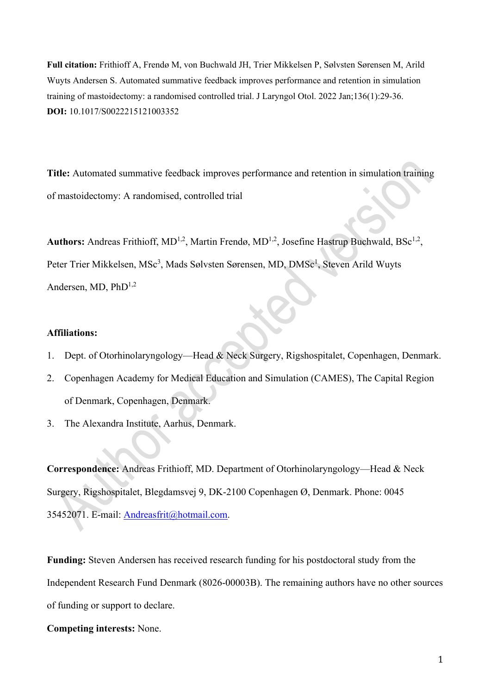**Full citation:** Frithioff A, Frendø M, von Buchwald JH, Trier Mikkelsen P, Sølvsten Sørensen M, Arild Wuyts Andersen S. Automated summative feedback improves performance and retention in simulation training of mastoidectomy: a randomised controlled trial. J Laryngol Otol. 2022 Jan;136(1):29-36. **DOI:** 10.1017/S0022215121003352

**Title:** Automated summative feedback improves performance and retention in simulation training of mastoidectomy: A randomised, controlled trial

Authors: Andreas Frithioff, MD<sup>1,2</sup>, Martin Frendø, MD<sup>1,2</sup>, Josefine Hastrup Buchwald, BSc<sup>1,2</sup>, Peter Trier Mikkelsen, MSc<sup>3</sup>, Mads Sølvsten Sørensen, MD, DMSc<sup>1</sup>, Steven Arild Wuyts Andersen, MD,  $PhD^{1,2}$ 

#### **Affiliations:**

- 1. Dept. of Otorhinolaryngology—Head & Neck Surgery, Rigshospitalet, Copenhagen, Denmark.
- 2. Copenhagen Academy for Medical Education and Simulation (CAMES), The Capital Region of Denmark, Copenhagen, Denmark.
- 3. The Alexandra Institute, Aarhus, Denmark.

**Correspondence:** Andreas Frithioff, MD. Department of Otorhinolaryngology—Head & Neck Surgery, Rigshospitalet, Blegdamsvej 9, DK-2100 Copenhagen Ø, Denmark. Phone: 0045 35452071. E-mail: [Andreasfrit@hotmail.com.](mailto:Andreasfrit@hotmail.com)

**Funding:** Steven Andersen has received research funding for his postdoctoral study from the Independent Research Fund Denmark (8026-00003B). The remaining authors have no other sources of funding or support to declare.

**Competing interests:** None.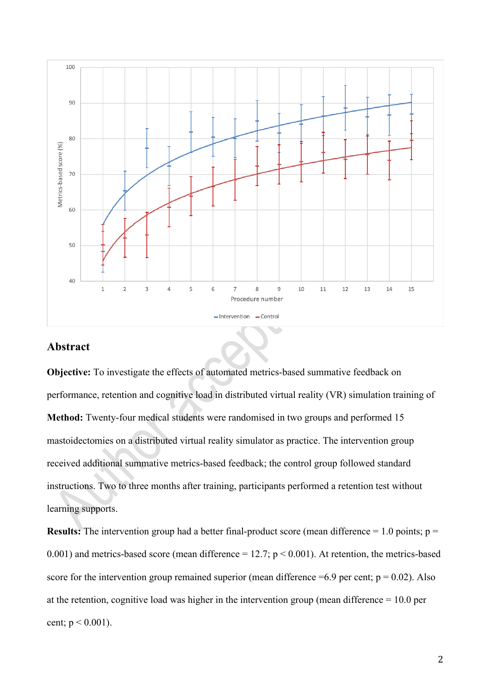

## **Abstract**

**Objective:** To investigate the effects of automated metrics-based summative feedback on performance, retention and cognitive load in distributed virtual reality (VR) simulation training of **Method:** Twenty-four medical students were randomised in two groups and performed 15 mastoidectomies on a distributed virtual reality simulator as practice. The intervention group received additional summative metrics-based feedback; the control group followed standard instructions. Two to three months after training, participants performed a retention test without learning supports.

**Results:** The intervention group had a better final-product score (mean difference  $= 1.0$  points;  $p =$ 0.001) and metrics-based score (mean difference = 12.7;  $p < 0.001$ ). At retention, the metrics-based score for the intervention group remained superior (mean difference  $=6.9$  per cent;  $p = 0.02$ ). Also at the retention, cognitive load was higher in the intervention group (mean difference = 10.0 per cent;  $p < 0.001$ ).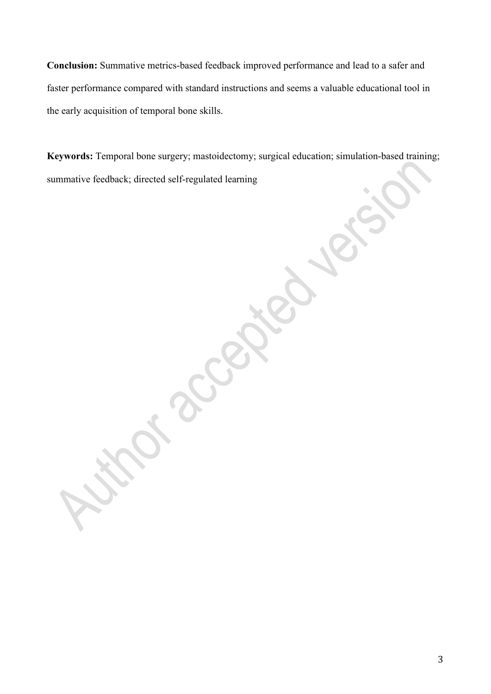**Conclusion:** Summative metrics-based feedback improved performance and lead to a safer and faster performance compared with standard instructions and seems a valuable educational tool in the early acquisition of temporal bone skills.

**Keywords:** Temporal bone surgery; mastoidectomy; surgical education; simulation-based training; summative feedback; directed self-regulated learning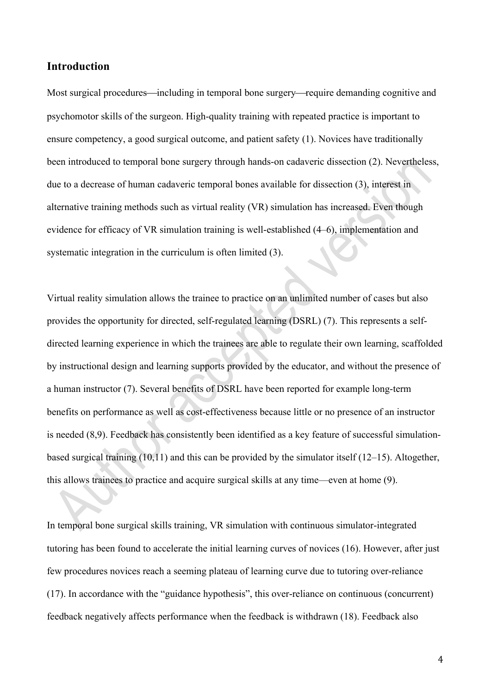## **Introduction**

Most surgical procedures—including in temporal bone surgery—require demanding cognitive and psychomotor skills of the surgeon. High-quality training with repeated practice is important to ensure competency, a good surgical outcome, and patient safety (1). Novices have traditionally been introduced to temporal bone surgery through hands-on cadaveric dissection (2). Nevertheless, due to a decrease of human cadaveric temporal bones available for dissection (3), interest in alternative training methods such as virtual reality (VR) simulation has increased. Even though evidence for efficacy of VR simulation training is well-established (4–6), implementation and systematic integration in the curriculum is often limited (3).

Virtual reality simulation allows the trainee to practice on an unlimited number of cases but also provides the opportunity for directed, self-regulated learning (DSRL) (7). This represents a selfdirected learning experience in which the trainees are able to regulate their own learning, scaffolded by instructional design and learning supports provided by the educator, and without the presence of a human instructor (7). Several benefits of DSRL have been reported for example long-term benefits on performance as well as cost-effectiveness because little or no presence of an instructor is needed (8,9). Feedback has consistently been identified as a key feature of successful simulationbased surgical training (10,11) and this can be provided by the simulator itself (12–15). Altogether, this allows trainees to practice and acquire surgical skills at any time—even at home (9).

In temporal bone surgical skills training, VR simulation with continuous simulator-integrated tutoring has been found to accelerate the initial learning curves of novices (16). However, after just few procedures novices reach a seeming plateau of learning curve due to tutoring over-reliance (17). In accordance with the "guidance hypothesis", this over-reliance on continuous (concurrent) feedback negatively affects performance when the feedback is withdrawn (18). Feedback also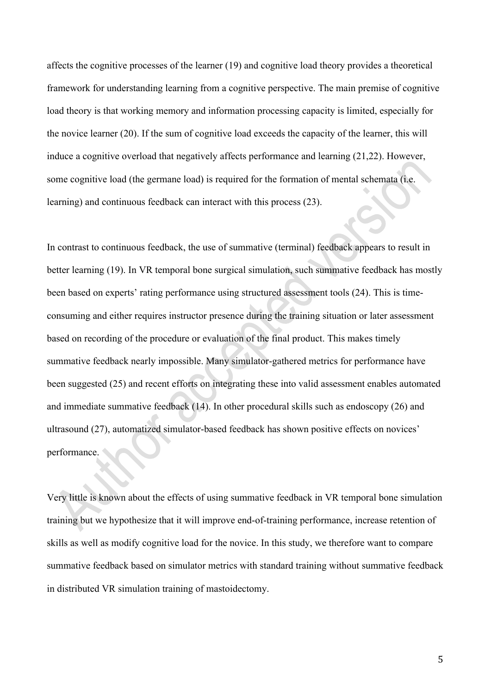affects the cognitive processes of the learner (19) and cognitive load theory provides a theoretical framework for understanding learning from a cognitive perspective. The main premise of cognitive load theory is that working memory and information processing capacity is limited, especially for the novice learner (20). If the sum of cognitive load exceeds the capacity of the learner, this will induce a cognitive overload that negatively affects performance and learning (21,22). However, some cognitive load (the germane load) is required for the formation of mental schemata (i.e. learning) and continuous feedback can interact with this process (23).

In contrast to continuous feedback, the use of summative (terminal) feedback appears to result in better learning (19). In VR temporal bone surgical simulation, such summative feedback has mostly been based on experts' rating performance using structured assessment tools (24). This is timeconsuming and either requires instructor presence during the training situation or later assessment based on recording of the procedure or evaluation of the final product. This makes timely summative feedback nearly impossible. Many simulator-gathered metrics for performance have been suggested (25) and recent efforts on integrating these into valid assessment enables automated and immediate summative feedback (14). In other procedural skills such as endoscopy (26) and ultrasound (27), automatized simulator-based feedback has shown positive effects on novices' performance.

Very little is known about the effects of using summative feedback in VR temporal bone simulation training but we hypothesize that it will improve end-of-training performance, increase retention of skills as well as modify cognitive load for the novice. In this study, we therefore want to compare summative feedback based on simulator metrics with standard training without summative feedback in distributed VR simulation training of mastoidectomy.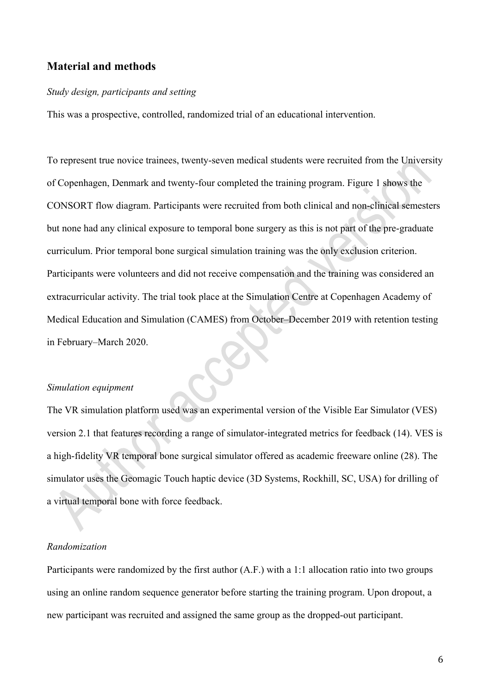## **Material and methods**

#### *Study design, participants and setting*

This was a prospective, controlled, randomized trial of an educational intervention.

To represent true novice trainees, twenty-seven medical students were recruited from the University of Copenhagen, Denmark and twenty-four completed the training program. Figure 1 shows the CONSORT flow diagram. Participants were recruited from both clinical and non-clinical semesters but none had any clinical exposure to temporal bone surgery as this is not part of the pre-graduate curriculum. Prior temporal bone surgical simulation training was the only exclusion criterion. Participants were volunteers and did not receive compensation and the training was considered an extracurricular activity. The trial took place at the Simulation Centre at Copenhagen Academy of Medical Education and Simulation (CAMES) from October–December 2019 with retention testing in February–March 2020.

#### *Simulation equipment*

The VR simulation platform used was an experimental version of the Visible Ear Simulator (VES) version 2.1 that features recording a range of simulator-integrated metrics for feedback (14). VES is a high-fidelity VR temporal bone surgical simulator offered as academic freeware online (28). The simulator uses the Geomagic Touch haptic device (3D Systems, Rockhill, SC, USA) for drilling of a virtual temporal bone with force feedback.

## *Randomization*

Participants were randomized by the first author (A.F.) with a 1:1 allocation ratio into two groups using an online random sequence generator before starting the training program. Upon dropout, a new participant was recruited and assigned the same group as the dropped-out participant.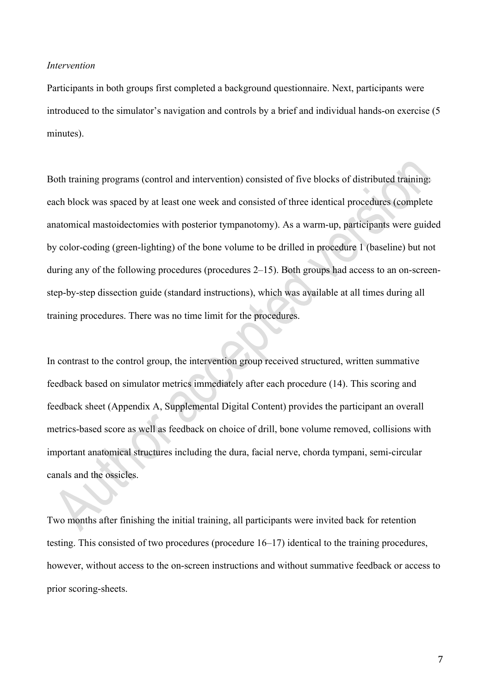#### *Intervention*

Participants in both groups first completed a background questionnaire. Next, participants were introduced to the simulator's navigation and controls by a brief and individual hands-on exercise (5 minutes).

Both training programs (control and intervention) consisted of five blocks of distributed training: each block was spaced by at least one week and consisted of three identical procedures (complete anatomical mastoidectomies with posterior tympanotomy). As a warm-up, participants were guided by color-coding (green-lighting) of the bone volume to be drilled in procedure 1 (baseline) but not during any of the following procedures (procedures 2–15). Both groups had access to an on-screenstep-by-step dissection guide (standard instructions), which was available at all times during all training procedures. There was no time limit for the procedures.

In contrast to the control group, the intervention group received structured, written summative feedback based on simulator metrics immediately after each procedure (14). This scoring and feedback sheet (Appendix A, Supplemental Digital Content) provides the participant an overall metrics-based score as well as feedback on choice of drill, bone volume removed, collisions with important anatomical structures including the dura, facial nerve, chorda tympani, semi-circular canals and the ossicles.

Two months after finishing the initial training, all participants were invited back for retention testing. This consisted of two procedures (procedure 16–17) identical to the training procedures, however, without access to the on-screen instructions and without summative feedback or access to prior scoring-sheets.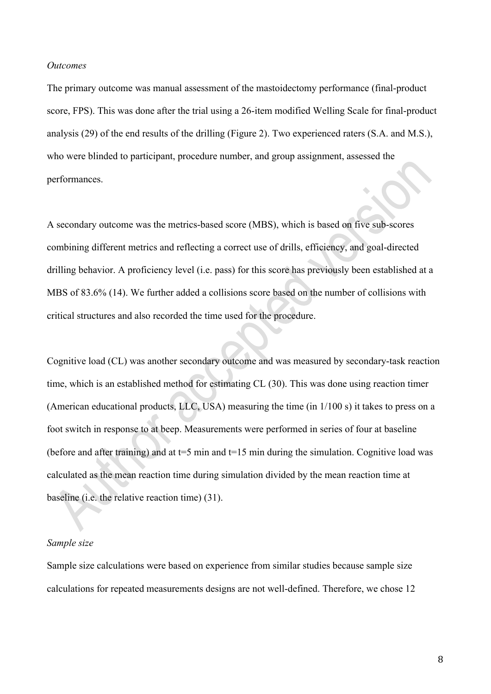#### *Outcomes*

The primary outcome was manual assessment of the mastoidectomy performance (final-product score, FPS). This was done after the trial using a 26-item modified Welling Scale for final-product analysis (29) of the end results of the drilling (Figure 2). Two experienced raters (S.A. and M.S.), who were blinded to participant, procedure number, and group assignment, assessed the performances.

A secondary outcome was the metrics-based score (MBS), which is based on five sub-scores combining different metrics and reflecting a correct use of drills, efficiency, and goal-directed drilling behavior. A proficiency level (i.e. pass) for this score has previously been established at a MBS of 83.6% (14). We further added a collisions score based on the number of collisions with critical structures and also recorded the time used for the procedure.

Cognitive load (CL) was another secondary outcome and was measured by secondary-task reaction time, which is an established method for estimating CL (30). This was done using reaction timer (American educational products, LLC, USA) measuring the time (in 1/100 s) it takes to press on a foot switch in response to at beep. Measurements were performed in series of four at baseline (before and after training) and at  $t=5$  min and  $t=15$  min during the simulation. Cognitive load was calculated as the mean reaction time during simulation divided by the mean reaction time at baseline (i.e. the relative reaction time) (31).

#### *Sample size*

Sample size calculations were based on experience from similar studies because sample size calculations for repeated measurements designs are not well-defined. Therefore, we chose 12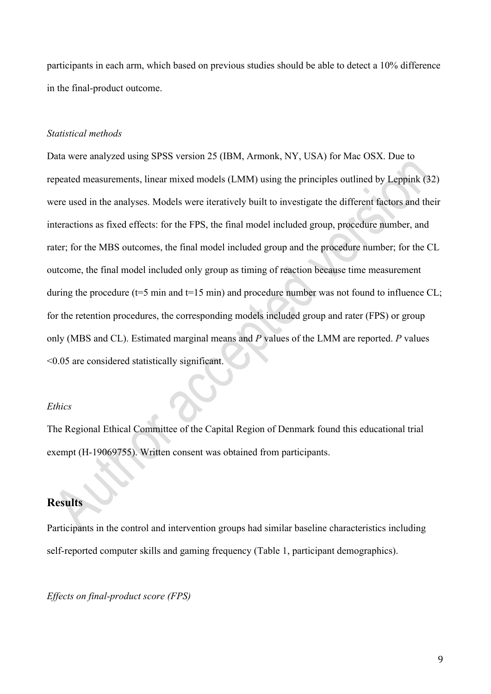participants in each arm, which based on previous studies should be able to detect a 10% difference in the final-product outcome.

### *Statistical methods*

Data were analyzed using SPSS version 25 (IBM, Armonk, NY, USA) for Mac OSX. Due to repeated measurements, linear mixed models (LMM) using the principles outlined by Leppink (32) were used in the analyses. Models were iteratively built to investigate the different factors and their interactions as fixed effects: for the FPS, the final model included group, procedure number, and rater; for the MBS outcomes, the final model included group and the procedure number; for the CL outcome, the final model included only group as timing of reaction because time measurement during the procedure ( $t=5$  min and  $t=15$  min) and procedure number was not found to influence CL; for the retention procedures, the corresponding models included group and rater (FPS) or group only (MBS and CL). Estimated marginal means and *P* values of the LMM are reported. *P* values <0.05 are considered statistically significant.

#### *Ethics*

The Regional Ethical Committee of the Capital Region of Denmark found this educational trial exempt (H-19069755). Written consent was obtained from participants.

# **Results**

Participants in the control and intervention groups had similar baseline characteristics including self-reported computer skills and gaming frequency (Table 1, participant demographics).

## *Effects on final-product score (FPS)*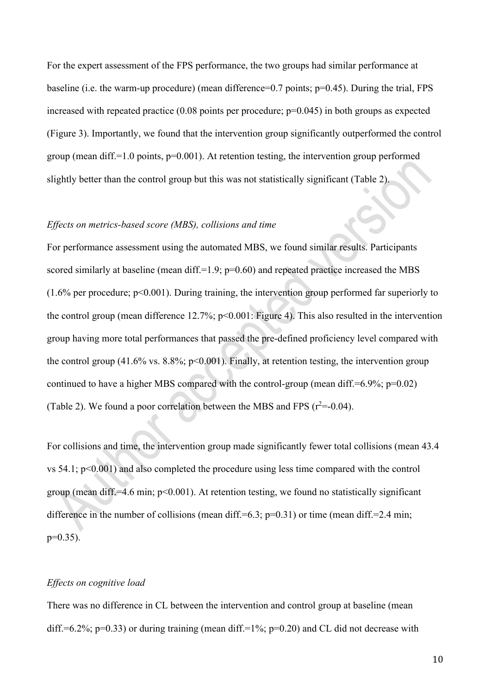For the expert assessment of the FPS performance, the two groups had similar performance at baseline (i.e. the warm-up procedure) (mean difference=0.7 points; p=0.45). During the trial, FPS increased with repeated practice  $(0.08 \text{ points per procedure}; p=0.045)$  in both groups as expected (Figure 3). Importantly, we found that the intervention group significantly outperformed the control group (mean diff.=1.0 points, p=0.001). At retention testing, the intervention group performed slightly better than the control group but this was not statistically significant (Table 2).

### *Effects on metrics-based score (MBS), collisions and time*

For performance assessment using the automated MBS, we found similar results. Participants scored similarly at baseline (mean diff.=1.9;  $p=0.60$ ) and repeated practice increased the MBS  $(1.6\%$  per procedure; p<0.001). During training, the intervention group performed far superiorly to the control group (mean difference 12.7%; p<0.001: Figure 4). This also resulted in the intervention group having more total performances that passed the pre-defined proficiency level compared with the control group (41.6% vs. 8.8%;  $p<0.001$ ). Finally, at retention testing, the intervention group continued to have a higher MBS compared with the control-group (mean diff.= $6.9\%$ ; p= $0.02$ ) (Table 2). We found a poor correlation between the MBS and FPS  $(r^2=0.04)$ .

For collisions and time, the intervention group made significantly fewer total collisions (mean 43.4 vs 54.1; p<0.001) and also completed the procedure using less time compared with the control group (mean diff.=4.6 min;  $p<0.001$ ). At retention testing, we found no statistically significant difference in the number of collisions (mean diff.=6.3;  $p=0.31$ ) or time (mean diff.=2.4 min;  $p=0.35$ ).

## *Effects on cognitive load*

There was no difference in CL between the intervention and control group at baseline (mean diff.=6.2%; p=0.33) or during training (mean diff.=1%; p=0.20) and CL did not decrease with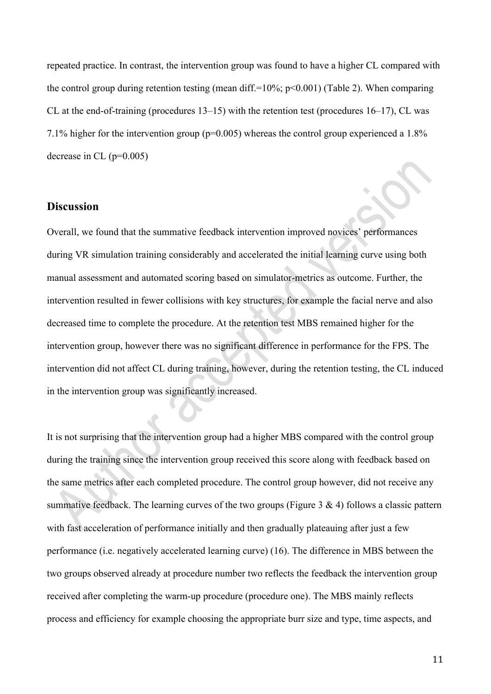repeated practice. In contrast, the intervention group was found to have a higher CL compared with the control group during retention testing (mean diff.=10%;  $p$ <0.001) (Table 2). When comparing CL at the end-of-training (procedures 13–15) with the retention test (procedures 16–17), CL was 7.1% higher for the intervention group (p=0.005) whereas the control group experienced a 1.8% decrease in CL  $(p=0.005)$ 

## **Discussion**

Overall, we found that the summative feedback intervention improved novices' performances during VR simulation training considerably and accelerated the initial learning curve using both manual assessment and automated scoring based on simulator-metrics as outcome. Further, the intervention resulted in fewer collisions with key structures, for example the facial nerve and also decreased time to complete the procedure. At the retention test MBS remained higher for the intervention group, however there was no significant difference in performance for the FPS. The intervention did not affect CL during training, however, during the retention testing, the CL induced in the intervention group was significantly increased.

It is not surprising that the intervention group had a higher MBS compared with the control group during the training since the intervention group received this score along with feedback based on the same metrics after each completed procedure. The control group however, did not receive any summative feedback. The learning curves of the two groups (Figure 3 & 4) follows a classic pattern with fast acceleration of performance initially and then gradually plateauing after just a few performance (i.e. negatively accelerated learning curve) (16). The difference in MBS between the two groups observed already at procedure number two reflects the feedback the intervention group received after completing the warm-up procedure (procedure one). The MBS mainly reflects process and efficiency for example choosing the appropriate burr size and type, time aspects, and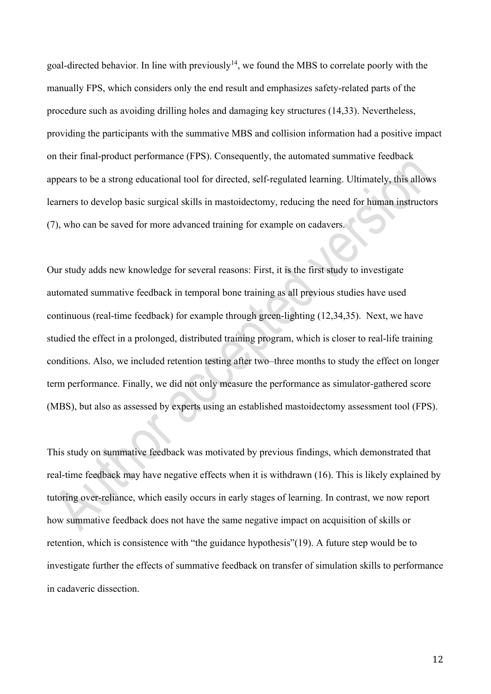goal-directed behavior. In line with previously<sup>14</sup>, we found the MBS to correlate poorly with the manually FPS, which considers only the end result and emphasizes safety-related parts of the procedure such as avoiding drilling holes and damaging key structures (14,33). Nevertheless, providing the participants with the summative MBS and collision information had a positive impact on their final-product performance (FPS). Consequently, the automated summative feedback appears to be a strong educational tool for directed, self-regulated learning. Ultimately, this allows learners to develop basic surgical skills in mastoidectomy, reducing the need for human instructors (7), who can be saved for more advanced training for example on cadavers.

Our study adds new knowledge for several reasons: First, it is the first study to investigate automated summative feedback in temporal bone training as all previous studies have used continuous (real-time feedback) for example through green-lighting (12,34,35). Next, we have studied the effect in a prolonged, distributed training program, which is closer to real-life training conditions. Also, we included retention testing after two–three months to study the effect on longer term performance. Finally, we did not only measure the performance as simulator-gathered score (MBS), but also as assessed by experts using an established mastoidectomy assessment tool (FPS).

This study on summative feedback was motivated by previous findings, which demonstrated that real-time feedback may have negative effects when it is withdrawn (16). This is likely explained by tutoring over-reliance, which easily occurs in early stages of learning. In contrast, we now report how summative feedback does not have the same negative impact on acquisition of skills or retention, which is consistence with "the guidance hypothesis"(19). A future step would be to investigate further the effects of summative feedback on transfer of simulation skills to performance in cadaveric dissection.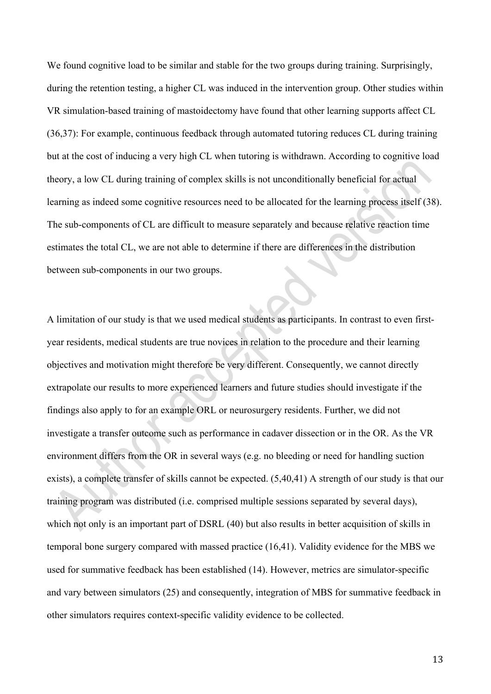We found cognitive load to be similar and stable for the two groups during training. Surprisingly, during the retention testing, a higher CL was induced in the intervention group. Other studies within VR simulation-based training of mastoidectomy have found that other learning supports affect CL (36,37): For example, continuous feedback through automated tutoring reduces CL during training but at the cost of inducing a very high CL when tutoring is withdrawn. According to cognitive load theory, a low CL during training of complex skills is not unconditionally beneficial for actual learning as indeed some cognitive resources need to be allocated for the learning process itself (38). The sub-components of CL are difficult to measure separately and because relative reaction time estimates the total CL, we are not able to determine if there are differences in the distribution between sub-components in our two groups.

A limitation of our study is that we used medical students as participants. In contrast to even firstyear residents, medical students are true novices in relation to the procedure and their learning objectives and motivation might therefore be very different. Consequently, we cannot directly extrapolate our results to more experienced learners and future studies should investigate if the findings also apply to for an example ORL or neurosurgery residents. Further, we did not investigate a transfer outcome such as performance in cadaver dissection or in the OR. As the VR environment differs from the OR in several ways (e.g. no bleeding or need for handling suction exists), a complete transfer of skills cannot be expected. (5,40,41) A strength of our study is that our training program was distributed (i.e. comprised multiple sessions separated by several days), which not only is an important part of DSRL (40) but also results in better acquisition of skills in temporal bone surgery compared with massed practice (16,41). Validity evidence for the MBS we used for summative feedback has been established (14). However, metrics are simulator-specific and vary between simulators (25) and consequently, integration of MBS for summative feedback in other simulators requires context-specific validity evidence to be collected.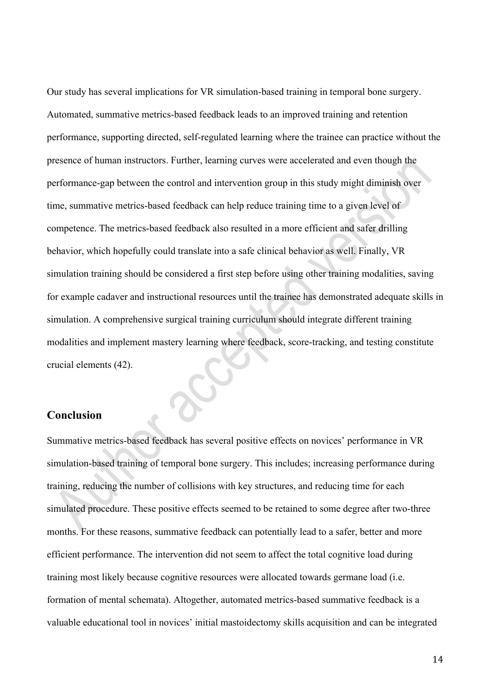Our study has several implications for VR simulation-based training in temporal bone surgery. Automated, summative metrics-based feedback leads to an improved training and retention performance, supporting directed, self-regulated learning where the trainee can practice without the presence of human instructors. Further, learning curves were accelerated and even though the performance-gap between the control and intervention group in this study might diminish over time, summative metrics-based feedback can help reduce training time to a given level of competence. The metrics-based feedback also resulted in a more efficient and safer drilling behavior, which hopefully could translate into a safe clinical behavior as well. Finally, VR simulation training should be considered a first step before using other training modalities, saving for example cadaver and instructional resources until the trainee has demonstrated adequate skills in simulation. A comprehensive surgical training curriculum should integrate different training modalities and implement mastery learning where feedback, score-tracking, and testing constitute crucial elements (42).

## **Conclusion**

Summative metrics-based feedback has several positive effects on novices' performance in VR simulation-based training of temporal bone surgery. This includes; increasing performance during training, reducing the number of collisions with key structures, and reducing time for each simulated procedure. These positive effects seemed to be retained to some degree after two-three months. For these reasons, summative feedback can potentially lead to a safer, better and more efficient performance. The intervention did not seem to affect the total cognitive load during training most likely because cognitive resources were allocated towards germane load (i.e. formation of mental schemata). Altogether, automated metrics-based summative feedback is a valuable educational tool in novices' initial mastoidectomy skills acquisition and can be integrated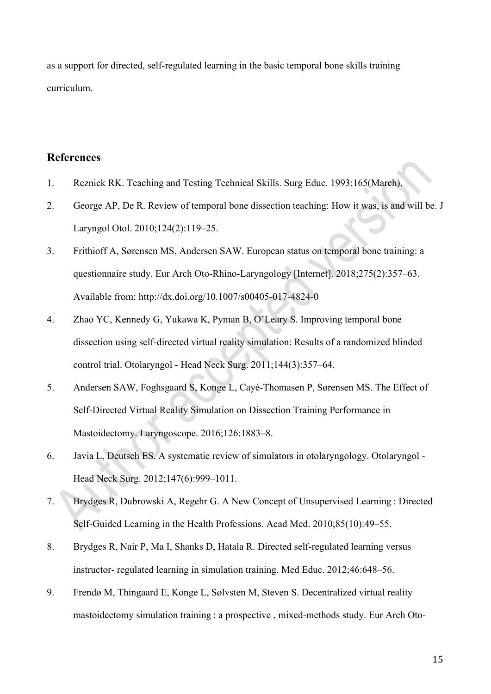as a support for directed, self-regulated learning in the basic temporal bone skills training curriculum.

# **References**

- 1. Reznick RK. Teaching and Testing Technical Skills. Surg Educ. 1993;165(March).
- 2. George AP, De R. Review of temporal bone dissection teaching: How it was, is and will be. J Laryngol Otol. 2010;124(2):119–25.
- 3. Frithioff A, Sørensen MS, Andersen SAW. European status on temporal bone training: a questionnaire study. Eur Arch Oto-Rhino-Laryngology [Internet]. 2018;275(2):357–63. Available from: http://dx.doi.org/10.1007/s00405-017-4824-0
- 4. Zhao YC, Kennedy G, Yukawa K, Pyman B, O'Leary S. Improving temporal bone dissection using self-directed virtual reality simulation: Results of a randomized blinded control trial. Otolaryngol - Head Neck Surg. 2011;144(3):357–64.
- 5. Andersen SAW, Foghsgaard S, Konge L, Cayé-Thomasen P, Sørensen MS. The Effect of Self-Directed Virtual Reality Simulation on Dissection Training Performance in Mastoidectomy. Laryngoscope. 2016;126:1883–8.
- 6. Javia L, Deutsch ES. A systematic review of simulators in otolaryngology. Otolaryngol Head Neck Surg. 2012;147(6):999–1011.
- 7. Brydges R, Dubrowski A, Regehr G. A New Concept of Unsupervised Learning : Directed Self-Guided Learning in the Health Professions. Acad Med. 2010;85(10):49–55.
- 8. Brydges R, Nair P, Ma I, Shanks D, Hatala R. Directed self-regulated learning versus instructor- regulated learning in simulation training. Med Educ. 2012;46:648–56.
- 9. Frendø M, Thingaard E, Konge L, Sølvsten M, Steven S. Decentralized virtual reality mastoidectomy simulation training : a prospective, mixed-methods study. Eur Arch Oto-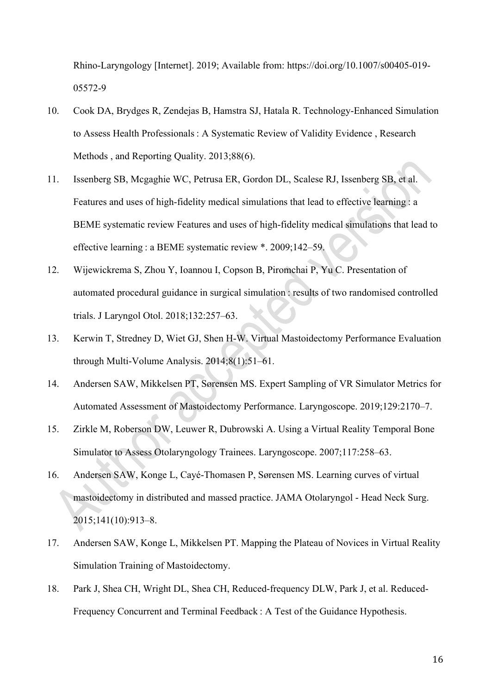Rhino-Laryngology [Internet]. 2019; Available from: https://doi.org/10.1007/s00405-019- 05572-9

- 10. Cook DA, Brydges R, Zendejas B, Hamstra SJ, Hatala R. Technology-Enhanced Simulation to Assess Health Professionals : A Systematic Review of Validity Evidence , Research Methods , and Reporting Quality. 2013;88(6).
- 11. Issenberg SB, Mcgaghie WC, Petrusa ER, Gordon DL, Scalese RJ, Issenberg SB, et al. Features and uses of high-fidelity medical simulations that lead to effective learning : a BEME systematic review Features and uses of high-fidelity medical simulations that lead to effective learning : a BEME systematic review \*. 2009;142–59.
- 12. Wijewickrema S, Zhou Y, Ioannou I, Copson B, Piromchai P, Yu C. Presentation of automated procedural guidance in surgical simulation : results of two randomised controlled trials. J Laryngol Otol. 2018;132:257–63.
- 13. Kerwin T, Stredney D, Wiet GJ, Shen H-W. Virtual Mastoidectomy Performance Evaluation through Multi-Volume Analysis. 2014;8(1):51–61.
- 14. Andersen SAW, Mikkelsen PT, Sørensen MS. Expert Sampling of VR Simulator Metrics for Automated Assessment of Mastoidectomy Performance. Laryngoscope. 2019;129:2170–7.
- 15. Zirkle M, Roberson DW, Leuwer R, Dubrowski A. Using a Virtual Reality Temporal Bone Simulator to Assess Otolaryngology Trainees. Laryngoscope. 2007;117:258–63.
- 16. Andersen SAW, Konge L, Cayé-Thomasen P, Sørensen MS. Learning curves of virtual mastoidectomy in distributed and massed practice. JAMA Otolaryngol - Head Neck Surg. 2015;141(10):913–8.
- 17. Andersen SAW, Konge L, Mikkelsen PT. Mapping the Plateau of Novices in Virtual Reality Simulation Training of Mastoidectomy.
- 18. Park J, Shea CH, Wright DL, Shea CH, Reduced-frequency DLW, Park J, et al. Reduced-Frequency Concurrent and Terminal Feedback : A Test of the Guidance Hypothesis.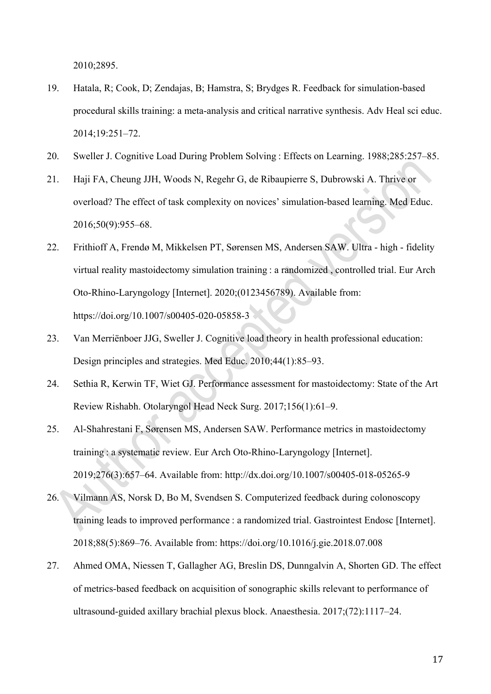2010;2895.

- 19. Hatala, R; Cook, D; Zendajas, B; Hamstra, S; Brydges R. Feedback for simulation-based procedural skills training: a meta-analysis and critical narrative synthesis. Adv Heal sci educ. 2014;19:251–72.
- 20. Sweller J. Cognitive Load During Problem Solving : Effects on Learning. 1988;285:257–85.
- 21. Haji FA, Cheung JJH, Woods N, Regehr G, de Ribaupierre S, Dubrowski A. Thrive or overload? The effect of task complexity on novices' simulation-based learning. Med Educ. 2016;50(9):955–68.
- 22. Frithioff A, Frendø M, Mikkelsen PT, Sørensen MS, Andersen SAW. Ultra ‑ high ‑ fidelity virtual reality mastoidectomy simulation training : a randomized , controlled trial. Eur Arch Oto-Rhino-Laryngology [Internet]. 2020;(0123456789). Available from: https://doi.org/10.1007/s00405-020-05858-3
- 23. Van Merriënboer JJG, Sweller J. Cognitive load theory in health professional education: Design principles and strategies. Med Educ. 2010;44(1):85–93.
- 24. Sethia R, Kerwin TF, Wiet GJ. Performance assessment for mastoidectomy: State of the Art Review Rishabh. Otolaryngol Head Neck Surg. 2017;156(1):61–9.
- 25. Al-Shahrestani F, Sørensen MS, Andersen SAW. Performance metrics in mastoidectomy training : a systematic review. Eur Arch Oto-Rhino-Laryngology [Internet]. 2019;276(3):657–64. Available from: http://dx.doi.org/10.1007/s00405-018-05265-9
- 26. Vilmann AS, Norsk D, Bo M, Svendsen S. Computerized feedback during colonoscopy training leads to improved performance : a randomized trial. Gastrointest Endosc [Internet]. 2018;88(5):869–76. Available from: https://doi.org/10.1016/j.gie.2018.07.008
- 27. Ahmed OMA, Niessen T, Gallagher AG, Breslin DS, Dunngalvin A, Shorten GD. The effect of metrics-based feedback on acquisition of sonographic skills relevant to performance of ultrasound-guided axillary brachial plexus block. Anaesthesia. 2017;(72):1117–24.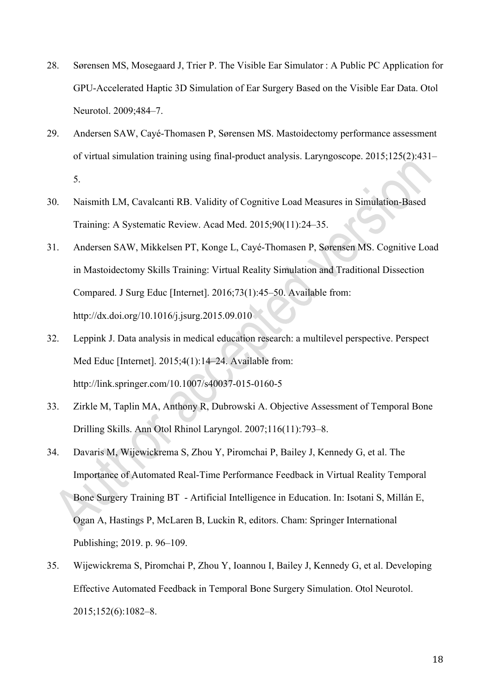- 28. Sørensen MS, Mosegaard J, Trier P. The Visible Ear Simulator : A Public PC Application for GPU-Accelerated Haptic 3D Simulation of Ear Surgery Based on the Visible Ear Data. Otol Neurotol. 2009;484–7.
- 29. Andersen SAW, Cayé-Thomasen P, Sørensen MS. Mastoidectomy performance assessment of virtual simulation training using final-product analysis. Laryngoscope. 2015;125(2):431– 5.
- 30. Naismith LM, Cavalcanti RB. Validity of Cognitive Load Measures in Simulation-Based Training: A Systematic Review. Acad Med. 2015;90(11):24–35.
- 31. Andersen SAW, Mikkelsen PT, Konge L, Cayé-Thomasen P, Sørensen MS. Cognitive Load in Mastoidectomy Skills Training: Virtual Reality Simulation and Traditional Dissection Compared. J Surg Educ [Internet]. 2016;73(1):45–50. Available from: http://dx.doi.org/10.1016/j.jsurg.2015.09.010
- 32. Leppink J. Data analysis in medical education research: a multilevel perspective. Perspect Med Educ [Internet]. 2015;4(1):14–24. Available from: http://link.springer.com/10.1007/s40037-015-0160-5
- 33. Zirkle M, Taplin MA, Anthony R, Dubrowski A. Objective Assessment of Temporal Bone Drilling Skills. Ann Otol Rhinol Laryngol. 2007;116(11):793–8.
- 34. Davaris M, Wijewickrema S, Zhou Y, Piromchai P, Bailey J, Kennedy G, et al. The Importance of Automated Real-Time Performance Feedback in Virtual Reality Temporal Bone Surgery Training BT - Artificial Intelligence in Education. In: Isotani S, Millán E, Ogan A, Hastings P, McLaren B, Luckin R, editors. Cham: Springer International Publishing; 2019. p. 96–109.
- 35. Wijewickrema S, Piromchai P, Zhou Y, Ioannou I, Bailey J, Kennedy G, et al. Developing Effective Automated Feedback in Temporal Bone Surgery Simulation. Otol Neurotol. 2015;152(6):1082–8.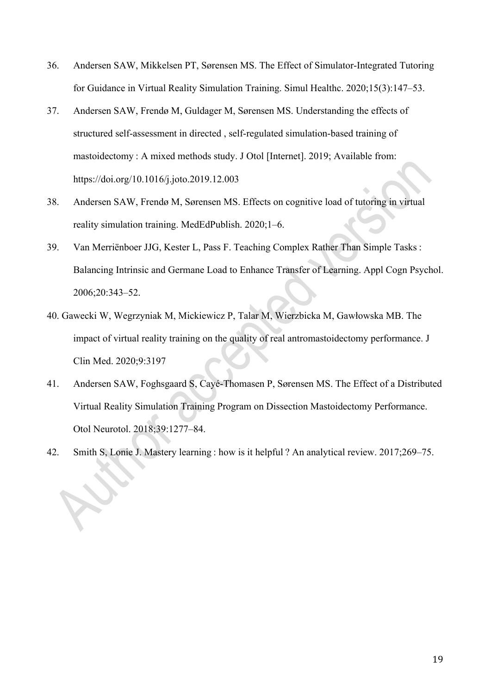- 36. Andersen SAW, Mikkelsen PT, Sørensen MS. The Effect of Simulator-Integrated Tutoring for Guidance in Virtual Reality Simulation Training. Simul Healthc. 2020;15(3):147–53.
- 37. Andersen SAW, Frendø M, Guldager M, Sørensen MS. Understanding the effects of structured self-assessment in directed , self-regulated simulation-based training of mastoidectomy : A mixed methods study. J Otol [Internet]. 2019; Available from: https://doi.org/10.1016/j.joto.2019.12.003
- 38. Andersen SAW, Frendø M, Sørensen MS. Effects on cognitive load of tutoring in virtual reality simulation training. MedEdPublish. 2020;1–6.
- 39. Van Merriënboer JJG, Kester L, Pass F. Teaching Complex Rather Than Simple Tasks : Balancing Intrinsic and Germane Load to Enhance Transfer of Learning. Appl Cogn Psychol. 2006;20:343–52.
- 40. Gawecki W, Wegrzyniak M, Mickiewicz P, Talar M, Wierzbicka M, Gawłowska MB. The impact of virtual reality training on the quality of real antromastoidectomy performance. J Clin Med. 2020;9:3197
- 41. Andersen SAW, Foghsgaard S, Cayé-Thomasen P, Sørensen MS. The Effect of a Distributed Virtual Reality Simulation Training Program on Dissection Mastoidectomy Performance. Otol Neurotol. 2018;39:1277–84.
- 42. Smith S, Lonie J. Mastery learning : how is it helpful ? An analytical review. 2017;269–75.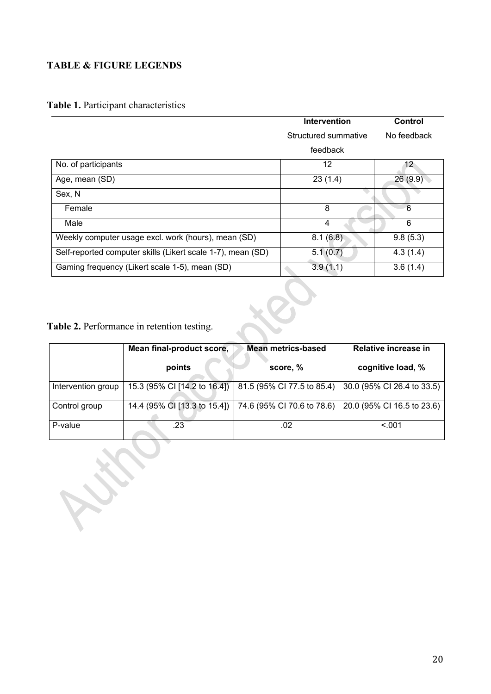# **TABLE & FIGURE LEGENDS**

# **Table 1.** Participant characteristics

|                                                             | <b>Intervention</b>  | Control         |
|-------------------------------------------------------------|----------------------|-----------------|
|                                                             | Structured summative | No feedback     |
|                                                             | feedback             |                 |
| No. of participants                                         | 12                   | 12 <sup>°</sup> |
| Age, mean (SD)                                              | 23(1.4)              | 26(9.9)         |
| Sex, N                                                      |                      |                 |
| Female                                                      | 8                    | 6               |
| Male                                                        | 4                    | 6               |
| Weekly computer usage excl. work (hours), mean (SD)         | 8.1(6.8)             | 9.8(5.3)        |
| Self-reported computer skills (Likert scale 1-7), mean (SD) | 5.1(0.7)             | 4.3(1.4)        |
| Gaming frequency (Likert scale 1-5), mean (SD)              | 3.9(1.1)             | 3.6(1.4)        |

**Table 2.** Performance in retention testing.

|                    | Mean final-product score,    | <b>Mean metrics-based</b>  | Relative increase in       |
|--------------------|------------------------------|----------------------------|----------------------------|
|                    | points                       | score, %                   | cognitive load, %          |
| Intervention group | 15.3 (95% CI [14.2 to 16.4]) | 81.5 (95% CI 77.5 to 85.4) | 30.0 (95% CI 26.4 to 33.5) |
| Control group      | 14.4 (95% CI [13.3 to 15.4]) | 74.6 (95% CI 70.6 to 78.6) | 20.0 (95% CI 16.5 to 23.6) |
| P-value            | .23                          | .02                        | < 0.01                     |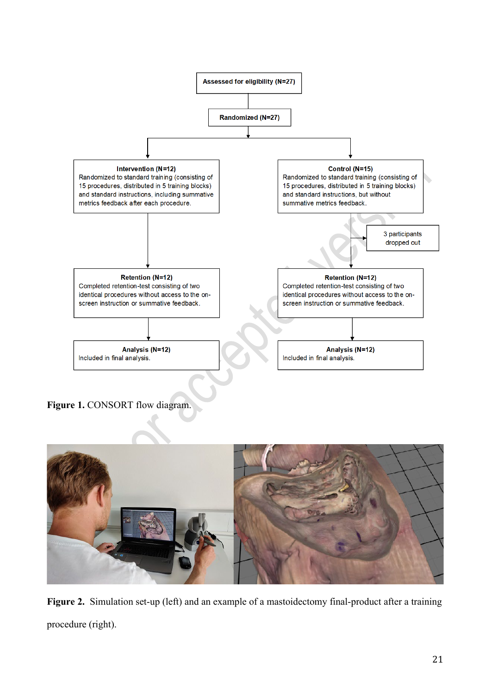

**Figure 1.** CONSORT flow diagram.



**Figure 2.** Simulation set-up (left) and an example of a mastoidectomy final-product after a training procedure (right).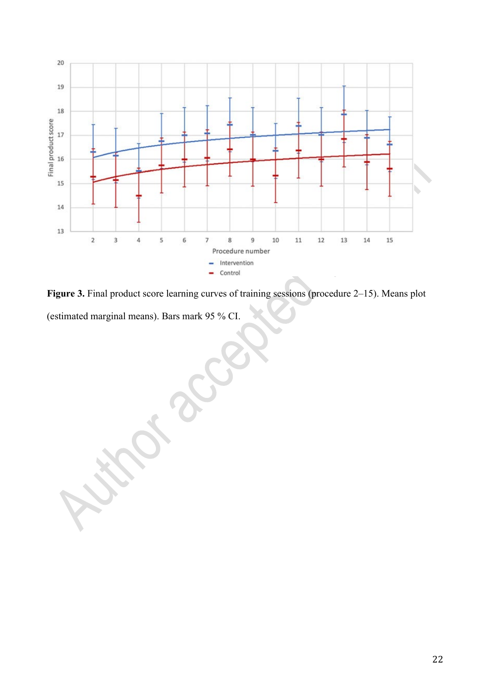

**Figure 3.** Final product score learning curves of training sessions (procedure 2–15). Means plot (estimated marginal means). Bars mark 95 % CI.